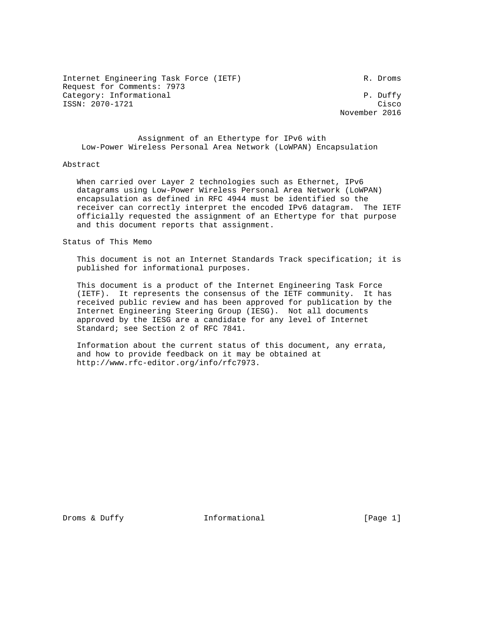Internet Engineering Task Force (IETF) R. Droms Request for Comments: 7973 Category: Informational  $P$ . Duffy ISSN: 2070-1721 Cisco

November 2016

 Assignment of an Ethertype for IPv6 with Low-Power Wireless Personal Area Network (LoWPAN) Encapsulation

## Abstract

 When carried over Layer 2 technologies such as Ethernet, IPv6 datagrams using Low-Power Wireless Personal Area Network (LoWPAN) encapsulation as defined in RFC 4944 must be identified so the receiver can correctly interpret the encoded IPv6 datagram. The IETF officially requested the assignment of an Ethertype for that purpose and this document reports that assignment.

Status of This Memo

 This document is not an Internet Standards Track specification; it is published for informational purposes.

 This document is a product of the Internet Engineering Task Force (IETF). It represents the consensus of the IETF community. It has received public review and has been approved for publication by the Internet Engineering Steering Group (IESG). Not all documents approved by the IESG are a candidate for any level of Internet Standard; see Section 2 of RFC 7841.

 Information about the current status of this document, any errata, and how to provide feedback on it may be obtained at http://www.rfc-editor.org/info/rfc7973.

Droms & Duffy **Informational** [Page 1]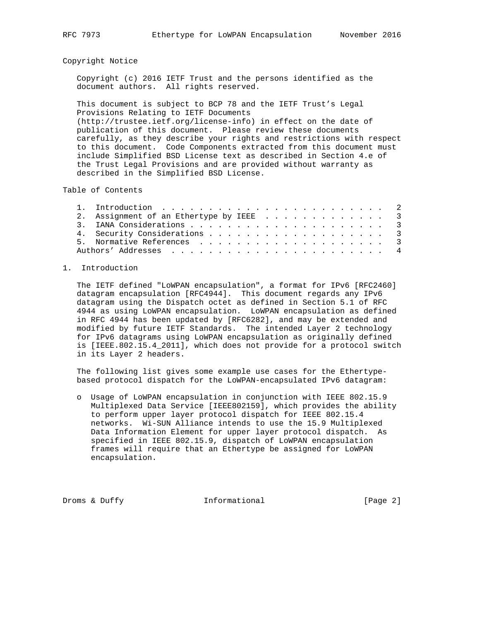## Copyright Notice

 Copyright (c) 2016 IETF Trust and the persons identified as the document authors. All rights reserved.

 This document is subject to BCP 78 and the IETF Trust's Legal Provisions Relating to IETF Documents (http://trustee.ietf.org/license-info) in effect on the date of publication of this document. Please review these documents carefully, as they describe your rights and restrictions with respect to this document. Code Components extracted from this document must include Simplified BSD License text as described in Section 4.e of the Trust Legal Provisions and are provided without warranty as described in the Simplified BSD License.

Table of Contents

| 2. Assignment of an Ethertype by IEEE 3 |
|-----------------------------------------|
|                                         |
| 4. Security Considerations 3            |
|                                         |
|                                         |
|                                         |

## 1. Introduction

 The IETF defined "LoWPAN encapsulation", a format for IPv6 [RFC2460] datagram encapsulation [RFC4944]. This document regards any IPv6 datagram using the Dispatch octet as defined in Section 5.1 of RFC 4944 as using LoWPAN encapsulation. LoWPAN encapsulation as defined in RFC 4944 has been updated by [RFC6282], and may be extended and modified by future IETF Standards. The intended Layer 2 technology for IPv6 datagrams using LoWPAN encapsulation as originally defined is [IEEE.802.15.4\_2011], which does not provide for a protocol switch in its Layer 2 headers.

 The following list gives some example use cases for the Ethertype based protocol dispatch for the LoWPAN-encapsulated IPv6 datagram:

 o Usage of LoWPAN encapsulation in conjunction with IEEE 802.15.9 Multiplexed Data Service [IEEE802159], which provides the ability to perform upper layer protocol dispatch for IEEE 802.15.4 networks. Wi-SUN Alliance intends to use the 15.9 Multiplexed Data Information Element for upper layer protocol dispatch. As specified in IEEE 802.15.9, dispatch of LoWPAN encapsulation frames will require that an Ethertype be assigned for LoWPAN encapsulation.

Droms & Duffy **Informational** [Page 2]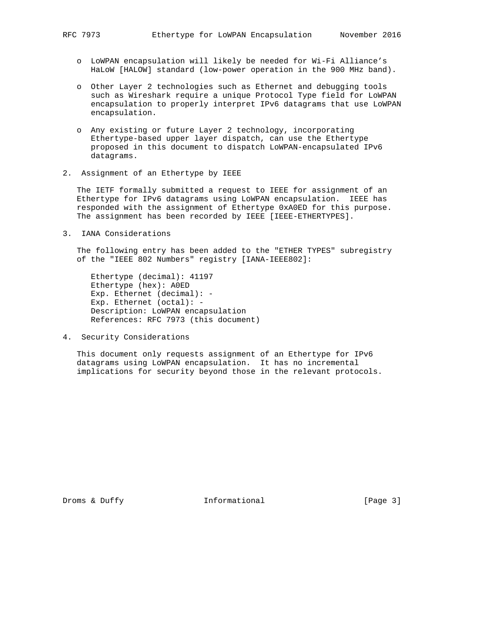- o LoWPAN encapsulation will likely be needed for Wi-Fi Alliance's HaLoW [HALOW] standard (low-power operation in the 900 MHz band).
- o Other Layer 2 technologies such as Ethernet and debugging tools such as Wireshark require a unique Protocol Type field for LoWPAN encapsulation to properly interpret IPv6 datagrams that use LoWPAN encapsulation.
- o Any existing or future Layer 2 technology, incorporating Ethertype-based upper layer dispatch, can use the Ethertype proposed in this document to dispatch LoWPAN-encapsulated IPv6 datagrams.
- 2. Assignment of an Ethertype by IEEE

 The IETF formally submitted a request to IEEE for assignment of an Ethertype for IPv6 datagrams using LoWPAN encapsulation. IEEE has responded with the assignment of Ethertype 0xA0ED for this purpose. The assignment has been recorded by IEEE [IEEE-ETHERTYPES].

3. IANA Considerations

 The following entry has been added to the "ETHER TYPES" subregistry of the "IEEE 802 Numbers" registry [IANA-IEEE802]:

 Ethertype (decimal): 41197 Ethertype (hex): A0ED Exp. Ethernet (decimal): - Exp. Ethernet (octal): - Description: LoWPAN encapsulation References: RFC 7973 (this document)

4. Security Considerations

 This document only requests assignment of an Ethertype for IPv6 datagrams using LoWPAN encapsulation. It has no incremental implications for security beyond those in the relevant protocols.

Droms & Duffy **Informational** [Page 3]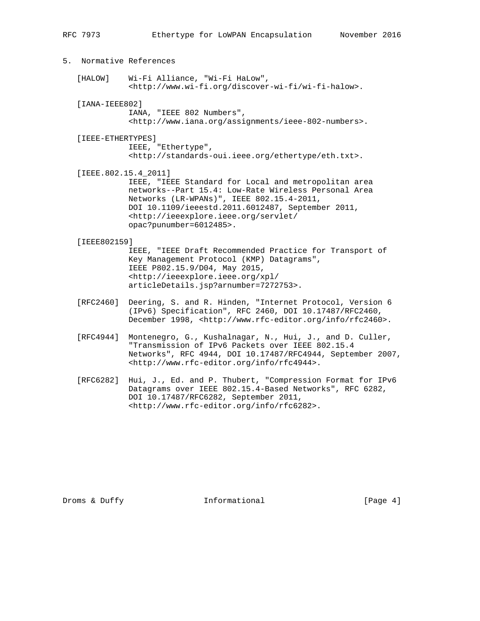| 5. Normative References |                                                                                                                                                                                                                                                                                                         |
|-------------------------|---------------------------------------------------------------------------------------------------------------------------------------------------------------------------------------------------------------------------------------------------------------------------------------------------------|
| [HALOW]                 | Wi-Fi Alliance, "Wi-Fi HaLow",<br><http: discover-wi-fi="" wi-fi-halow="" www.wi-fi.org="">.</http:>                                                                                                                                                                                                    |
| $[IANA-IEEE802]$        | IANA, "IEEE 802 Numbers",<br><http: assignments="" ieee-802-numbers="" www.iana.org="">.</http:>                                                                                                                                                                                                        |
| [IEEE-ETHERTYPES]       | IEEE, "Ethertype",<br><http: eth.txt="" ethertype="" standards-oui.ieee.org="">.</http:>                                                                                                                                                                                                                |
| [IEEE.802.15.4 2011]    | IEEE, "IEEE Standard for Local and metropolitan area<br>networks--Part 15.4: Low-Rate Wireless Personal Area<br>Networks $(LR-WPANS)$ ", IEEE 802.15.4-2011,<br>DOI 10.1109/ieeestd.2011.6012487, September 2011,<br><http: <br="" ieeexplore.ieee.org="" servlet="">opac?punumber=6012485&gt;.</http:> |
| [IEEE802159]            | IEEE, "IEEE Draft Recommended Practice for Transport of<br>Key Management Protocol (KMP) Datagrams",<br>IEEE P802.15.9/D04, May 2015,<br><http: <br="" ieeexplore.ieee.org="" xpl="">articleDetails.jsp?arnumber=7272753&gt;.</http:>                                                                   |
| [RFC2460]               | Deering, S. and R. Hinden, "Internet Protocol, Version 6<br>(IPv6) Specification", RFC 2460, DOI 10.17487/RFC2460,<br>December 1998, <http: info="" rfc2460="" www.rfc-editor.org="">.</http:>                                                                                                          |
| [RFC4944]               | Montenegro, G., Kushalnagar, N., Hui, J., and D. Culler,<br>"Transmission of IPv6 Packets over IEEE 802.15.4<br>Networks", RFC 4944, DOI 10.17487/RFC4944, September 2007,                                                                                                                              |

 [RFC6282] Hui, J., Ed. and P. Thubert, "Compression Format for IPv6 Datagrams over IEEE 802.15.4-Based Networks", RFC 6282, DOI 10.17487/RFC6282, September 2011, <http://www.rfc-editor.org/info/rfc6282>.

<http://www.rfc-editor.org/info/rfc4944>.

Droms & Duffy **Informational** [Page 4]